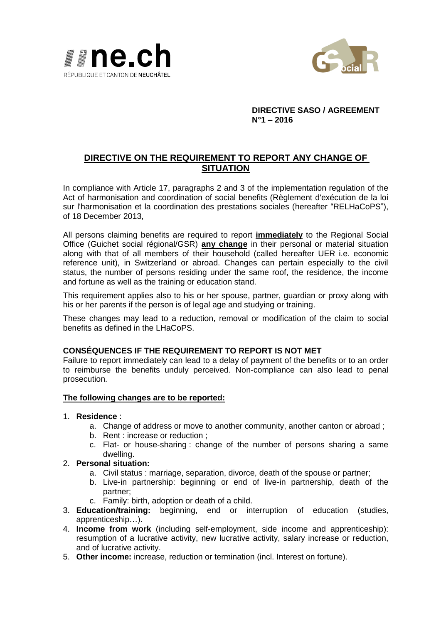



### **DIRECTIVE SASO / AGREEMENT N°1 – 2016**

# **DIRECTIVE ON THE REQUIREMENT TO REPORT ANY CHANGE OF SITUATION**

In compliance with Article 17, paragraphs 2 and 3 of the implementation regulation of the Act of harmonisation and coordination of social benefits (Règlement d'exécution de la loi sur l'harmonisation et la coordination des prestations sociales (hereafter "RELHaCoPS"), of 18 December 2013,

All persons claiming benefits are required to report **immediately** to the Regional Social Office (Guichet social régional/GSR) **any change** in their personal or material situation along with that of all members of their household (called hereafter UER i.e. economic reference unit), in Switzerland or abroad. Changes can pertain especially to the civil status, the number of persons residing under the same roof, the residence, the income and fortune as well as the training or education stand.

This requirement applies also to his or her spouse, partner, guardian or proxy along with his or her parents if the person is of legal age and studying or training.

These changes may lead to a reduction, removal or modification of the claim to social benefits as defined in the LHaCoPS.

### **CONSÉQUENCES IF THE REQUIREMENT TO REPORT IS NOT MET**

Failure to report immediately can lead to a delay of payment of the benefits or to an order to reimburse the benefits unduly perceived. Non-compliance can also lead to penal prosecution.

#### **The following changes are to be reported:**

- 1. **Residence** :
	- a. Change of address or move to another community, another canton or abroad ;
	- b. Rent : increase or reduction ;
	- c. Flat- or house-sharing : change of the number of persons sharing a same dwelling.
- 2. **Personal situation:**
	- a. Civil status : marriage, separation, divorce, death of the spouse or partner;
	- b. Live-in partnership: beginning or end of live-in partnership, death of the partner;
	- c. Family: birth, adoption or death of a child.
- 3. **Education/training:** beginning, end or interruption of education (studies, apprenticeship…).
- 4. **Income from work** (including self-employment, side income and apprenticeship): resumption of a lucrative activity, new lucrative activity, salary increase or reduction, and of lucrative activity.
- 5. **Other income:** increase, reduction or termination (incl. Interest on fortune).